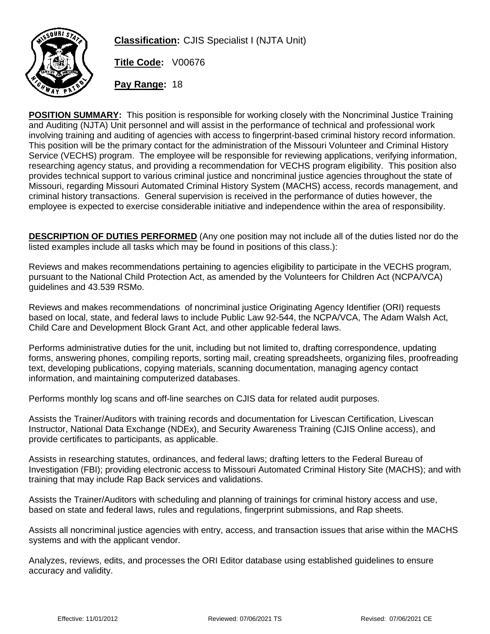

**Classification:** CJIS Specialist I (NJTA Unit)

**Title Code:** V00676

**Pay Range:** 18

**POSITION SUMMARY:** This position is responsible for working closely with the Noncriminal Justice Training and Auditing (NJTA) Unit personnel and will assist in the performance of technical and professional work involving training and auditing of agencies with access to fingerprint-based criminal history record information. This position will be the primary contact for the administration of the Missouri Volunteer and Criminal History Service (VECHS) program. The employee will be responsible for reviewing applications, verifying information, researching agency status, and providing a recommendation for VECHS program eligibility. This position also provides technical support to various criminal justice and noncriminal justice agencies throughout the state of Missouri, regarding Missouri Automated Criminal History System (MACHS) access, records management, and criminal history transactions. General supervision is received in the performance of duties however, the employee is expected to exercise considerable initiative and independence within the area of responsibility.

**DESCRIPTION OF DUTIES PERFORMED** (Any one position may not include all of the duties listed nor do the listed examples include all tasks which may be found in positions of this class.):

Reviews and makes recommendations pertaining to agencies eligibility to participate in the VECHS program, pursuant to the National Child Protection Act, as amended by the Volunteers for Children Act (NCPA/VCA) guidelines and 43.539 RSMo.

Reviews and makes recommendations of noncriminal justice Originating Agency Identifier (ORI) requests based on local, state, and federal laws to include Public Law 92-544, the NCPA/VCA, The Adam Walsh Act, Child Care and Development Block Grant Act, and other applicable federal laws.

Performs administrative duties for the unit, including but not limited to, drafting correspondence, updating forms, answering phones, compiling reports, sorting mail, creating spreadsheets, organizing files, proofreading text, developing publications, copying materials, scanning documentation, managing agency contact information, and maintaining computerized databases.

Performs monthly log scans and off-line searches on CJIS data for related audit purposes.

Assists the Trainer/Auditors with training records and documentation for Livescan Certification, Livescan Instructor, National Data Exchange (NDEx), and Security Awareness Training (CJIS Online access), and provide certificates to participants, as applicable.

Assists in researching statutes, ordinances, and federal laws; drafting letters to the Federal Bureau of Investigation (FBI); providing electronic access to Missouri Automated Criminal History Site (MACHS); and with training that may include Rap Back services and validations.

Assists the Trainer/Auditors with scheduling and planning of trainings for criminal history access and use, based on state and federal laws, rules and regulations, fingerprint submissions, and Rap sheets.

Assists all noncriminal justice agencies with entry, access, and transaction issues that arise within the MACHS systems and with the applicant vendor.

Analyzes, reviews, edits, and processes the ORI Editor database using established guidelines to ensure accuracy and validity.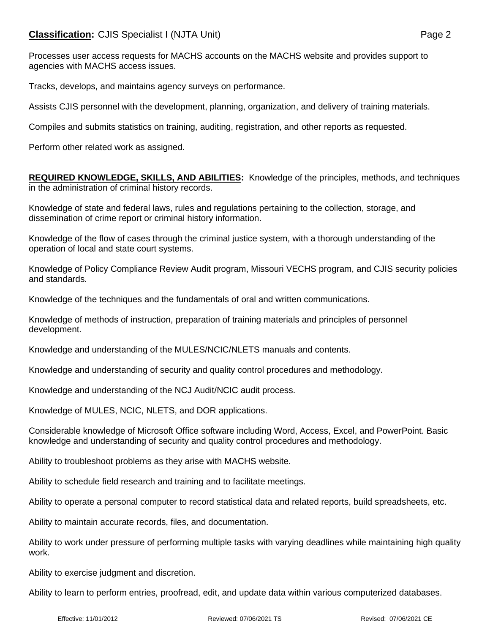Processes user access requests for MACHS accounts on the MACHS website and provides support to agencies with MACHS access issues.

Tracks, develops, and maintains agency surveys on performance.

Assists CJIS personnel with the development, planning, organization, and delivery of training materials.

Compiles and submits statistics on training, auditing, registration, and other reports as requested.

Perform other related work as assigned.

**REQUIRED KNOWLEDGE, SKILLS, AND ABILITIES:** Knowledge of the principles, methods, and techniques in the administration of criminal history records.

Knowledge of state and federal laws, rules and regulations pertaining to the collection, storage, and dissemination of crime report or criminal history information.

Knowledge of the flow of cases through the criminal justice system, with a thorough understanding of the operation of local and state court systems.

Knowledge of Policy Compliance Review Audit program, Missouri VECHS program, and CJIS security policies and standards.

Knowledge of the techniques and the fundamentals of oral and written communications.

Knowledge of methods of instruction, preparation of training materials and principles of personnel development.

Knowledge and understanding of the MULES/NCIC/NLETS manuals and contents.

Knowledge and understanding of security and quality control procedures and methodology.

Knowledge and understanding of the NCJ Audit/NCIC audit process.

Knowledge of MULES, NCIC, NLETS, and DOR applications.

Considerable knowledge of Microsoft Office software including Word, Access, Excel, and PowerPoint. Basic knowledge and understanding of security and quality control procedures and methodology.

Ability to troubleshoot problems as they arise with MACHS website.

Ability to schedule field research and training and to facilitate meetings.

Ability to operate a personal computer to record statistical data and related reports, build spreadsheets, etc.

Ability to maintain accurate records, files, and documentation.

Ability to work under pressure of performing multiple tasks with varying deadlines while maintaining high quality work.

Ability to exercise judgment and discretion.

Ability to learn to perform entries, proofread, edit, and update data within various computerized databases.